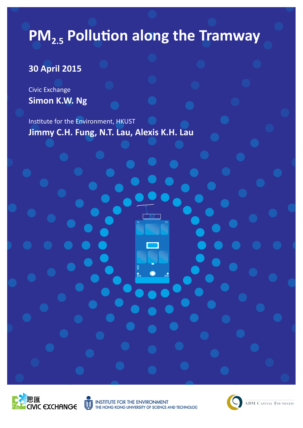# **PM<sub>2.5</sub> Pollution along the Tramway**

## **30 April 2015**

Civic Exchange **Simon K.W. Ng**

Institute for the Environment, HKUST **Jimmy C.H. Fung, N.T. Lau, Alexis K.H. Lau**





THE ENVIRONMENT THE HONG KONG UNIVERSITY OF SCIENCE AND TECHNOLOG

32 32 32

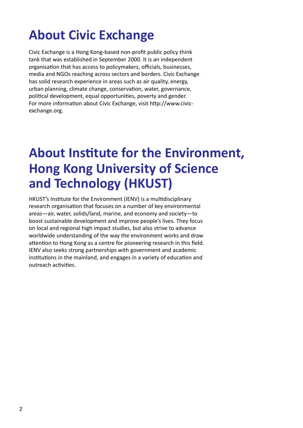# **About Civic Exchange**

Civic Exchange is a Hong Kong-based non-profit public policy think tank that was established in September 2000. It is an independent organisation that has access to policymakers, officials, businesses, media and NGOs reaching across sectors and borders. Civic Exchange has solid research experience in areas such as air quality, energy, urban planning, climate change, conservation, water, governance, political development, equal opportunities, poverty and gender. For more information about Civic Exchange, visit http://www.civicexchange.org.

## **About Institute for the Environment, Hong Kong University of Science and Technology (HKUST)**

HKUST's Institute for the Environment (IENV) is a multidisciplinary research organisation that focuses on a number of key environmental areas—air, water, solids/land, marine, and economy and society—to boost sustainable development and improve people's lives. They focus on local and regional high impact studies, but also strive to advance worldwide understanding of the way the environment works and draw attention to Hong Kong as a centre for pioneering research in this field. IENV also seeks strong partnerships with government and academic institutions in the mainland, and engages in a variety of education and outreach activities.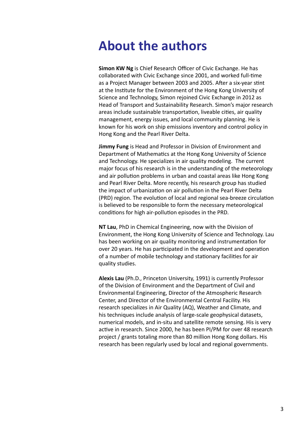## **About the authors**

**Simon KW Ng** is Chief Research Officer of Civic Exchange. He has collaborated with Civic Exchange since 2001, and worked full-time as a Project Manager between 2003 and 2005. After a six-year stint at the Institute for the Environment of the Hong Kong University of Science and Technology, Simon rejoined Civic Exchange in 2012 as Head of Transport and Sustainability Research. Simon's major research areas include sustainable transportation, liveable cities, air quality management, energy issues, and local community planning. He is known for his work on ship emissions inventory and control policy in Hong Kong and the Pearl River Delta.

**Jimmy Fung** is Head and Professor in Division of Environment and Department of Mathematics at the Hong Kong University of Science and Technology. He specializes in air quality modeling. The current major focus of his research is in the understanding of the meteorology and air pollution problems in urban and coastal areas like Hong Kong and Pearl River Delta. More recently, his research group has studied the impact of urbanization on air pollution in the Pearl River Delta (PRD) region. The evolution of local and regional sea-breeze circulation is believed to be responsible to form the necessary meteorological conditions for high air-pollution episodes in the PRD.

**NT Lau**, PhD in Chemical Engineering, now with the Division of Environment, the Hong Kong University of Science and Technology. Lau has been working on air quality monitoring and instrumentation for over 20 years. He has participated in the development and operation of a number of mobile technology and stationary facilities for air quality studies.

**Alexis Lau** (Ph.D., Princeton University, 1991) is currently Professor of the Division of Environment and the Department of Civil and Environmental Engineering, Director of the Atmospheric Research Center, and Director of the Environmental Central Facility. His research specializes in Air Quality (AQ), Weather and Climate, and his techniques include analysis of large-scale geophysical datasets, numerical models, and in-situ and satellite remote sensing. His is very active in research. Since 2000, he has been PI/PM for over 48 research project / grants totaling more than 80 million Hong Kong dollars. His research has been regularly used by local and regional governments.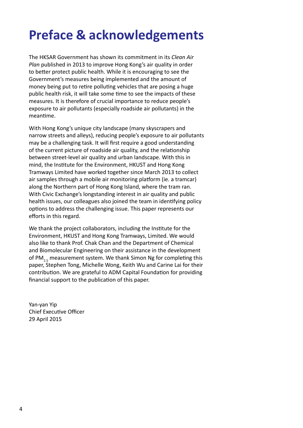# **Preface & acknowledgements**

The HKSAR Government has shown its commitment in its *Clean Air Plan published in 2013 to improve Hong Kong's air quality in order* to better protect public health. While it is encouraging to see the Government's measures being implemented and the amount of money being put to retire polluting vehicles that are posing a huge public health risk, it will take some time to see the impacts of these measures. It is therefore of crucial importance to reduce people's exposure to air pollutants (especially roadside air pollutants) in the meantime.

With Hong Kong's unique city landscape (many skyscrapers and narrow streets and alleys), reducing people's exposure to air pollutants may be a challenging task. It will first require a good understanding of the current picture of roadside air quality, and the relationship between street-level air quality and urban landscape. With this in mind, the Institute for the Environment, HKUST and Hong Kong Tramways Limited have worked together since March 2013 to collect air samples through a mobile air monitoring platform (ie. a tramcar) along the Northern part of Hong Kong Island, where the tram ran. With Civic Exchange's longstanding interest in air quality and public health issues, our colleagues also joined the team in identifying policy options to address the challenging issue. This paper represents our efforts in this regard.

We thank the project collaborators, including the Institute for the Environment, HKUST and Hong Kong Tramways, Limited. We would also like to thank Prof. Chak Chan and the Department of Chemical and Biomolecular Engineering on their assistance in the development of PM<sub>2.5</sub> measurement system. We thank Simon Ng for completing this paper, Stephen Tong, Michelle Wong, Keith Wu and Carine Lai for their contribution. We are grateful to ADM Capital Foundation for providing financial support to the publication of this paper.

Yan-yan Yip Chief Executive Officer 29 April 2015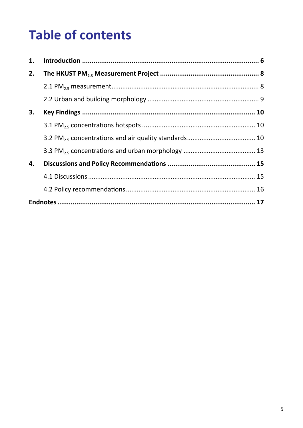# **Table of contents**

| 1. |  |  |  |  |  |
|----|--|--|--|--|--|
| 2. |  |  |  |  |  |
|    |  |  |  |  |  |
|    |  |  |  |  |  |
| 3. |  |  |  |  |  |
|    |  |  |  |  |  |
|    |  |  |  |  |  |
|    |  |  |  |  |  |
| 4. |  |  |  |  |  |
|    |  |  |  |  |  |
|    |  |  |  |  |  |
|    |  |  |  |  |  |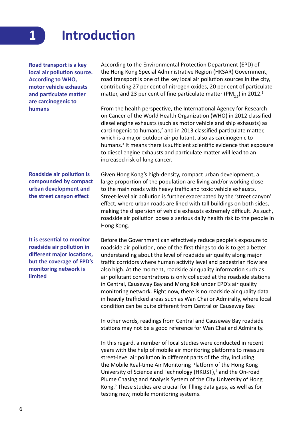## **Introduction**

**Road transport is a key local air pollution source. According to WHO, motor vehicle exhausts and particulate matter are carcinogenic to humans**

**1**

**Roadside air pollution is compounded by compact urban development and the street canyon effect**

**It is essential to monitor roadside air pollution in different major locations, but the coverage of EPD's monitoring network is limited**

According to the Environmental Protection Department (EPD) of the Hong Kong Special Administrative Region (HKSAR) Government, road transport is one of the key local air pollution sources in the city, contributing 27 per cent of nitrogen oxides, 20 per cent of particulate matter, and 23 per cent of fine particulate matter (PM<sub>2.5</sub>) in 2012.<sup>1</sup>

From the health perspective, the International Agency for Research on Cancer of the World Health Organization (WHO) in 2012 classified diesel engine exhausts (such as motor vehicle and ship exhausts) as carcinogenic to humans, $2$  and in 2013 classified particulate matter, which is a major outdoor air pollutant, also as carcinogenic to humans.<sup>3</sup> It means there is sufficient scientific evidence that exposure to diesel engine exhausts and particulate matter will lead to an increased risk of lung cancer.

Given Hong Kong's high-density, compact urban development, a large proportion of the population are living and/or working close to the main roads with heavy traffic and toxic vehicle exhausts. Street-level air pollution is further exacerbated by the 'street canyon' effect, where urban roads are lined with tall buildings on both sides, making the dispersion of vehicle exhausts extremely difficult. As such, roadside air pollution poses a serious daily health risk to the people in Hong Kong.

Before the Government can effectively reduce people's exposure to roadside air pollution, one of the first things to do is to get a better understanding about the level of roadside air quality along major traffic corridors where human activity level and pedestrian flow are also high. At the moment, roadside air quality information such as air pollutant concentrations is only collected at the roadside stations in Central, Causeway Bay and Mong Kok under EPD's air quality monitoring network. Right now, there is no roadside air quality data in heavily trafficked areas such as Wan Chai or Admiralty, where local condition can be quite different from Central or Causeway Bay.

In other words, readings from Central and Causeway Bay roadside stations may not be a good reference for Wan Chai and Admiralty.

In this regard, a number of local studies were conducted in recent years with the help of mobile air monitoring platforms to measure street-level air pollution in different parts of the city, including the Mobile Real-time Air Monitoring Platform of the Hong Kong University of Science and Technology (HKUST),<sup>4</sup> and the On-road Plume Chasing and Analysis System of the City University of Hong Kong.<sup>5</sup> These studies are crucial for filling data gaps, as well as for testing new, mobile monitoring systems.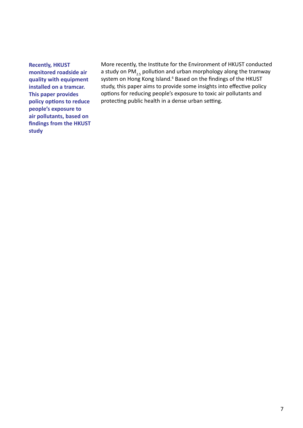**Recently, HKUST monitored roadside air quality with equipment installed on a tramcar. This paper provides policy options to reduce people's exposure to air pollutants, based on findings from the HKUST study**

More recently, the Institute for the Environment of HKUST conducted a study on PM<sub>2.5</sub> pollution and urban morphology along the tramway system on Hong Kong Island.<sup>6</sup> Based on the findings of the HKUST study, this paper aims to provide some insights into effective policy options for reducing people's exposure to toxic air pollutants and protecting public health in a dense urban setting.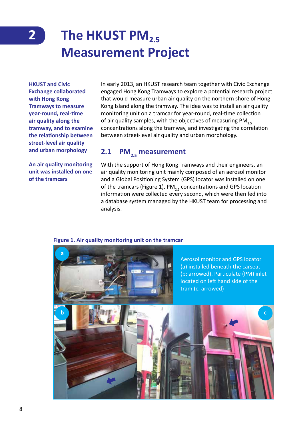## **The HKUST PM2.5 Measurement Project 2**

**HKUST and Civic Exchange collaborated with Hong Kong Tramways to measure year-round, real-time air quality along the tramway, and to examine the relationship between street-level air quality and urban morphology**

**An air quality monitoring unit was installed on one of the tramcars**

In early 2013, an HKUST research team together with Civic Exchange engaged Hong Kong Tramways to explore a potential research project that would measure urban air quality on the northern shore of Hong Kong Island along the tramway. The idea was to install an air quality monitoring unit on a tramcar for year-round, real-time collection of air quality samples, with the objectives of measuring PM<sub>2.5</sub> concentrations along the tramway, and investigating the correlation between street-level air quality and urban morphology.

## **2.1 PM<sub>2.5</sub>** measurement

With the support of Hong Kong Tramways and their engineers, an air quality monitoring unit mainly composed of an aerosol monitor and a Global Positioning System (GPS) locator was installed on one of the tramcars (Figure 1).  $PM_{25}$  concentrations and GPS location information were collected every second, which were then fed into a database system managed by the HKUST team for processing and analysis.

#### **Figure 1. Air quality monitoring unit on the tramcar**

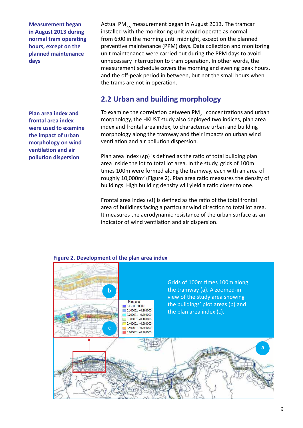**Measurement began in August 2013 during normal tram operating hours, except on the planned maintenance days**

**Plan area index and frontal area index were used to examine the impact of urban morphology on wind ventilation and air pollution dispersion**

Actual PM<sub>2.5</sub> measurement began in August 2013. The tramcar installed with the monitoring unit would operate as normal from 6:00 in the morning until midnight, except on the planned preventive maintenance (PPM) days. Data collection and monitoring unit maintenance were carried out during the PPM days to avoid unnecessary interruption to tram operation. In other words, the measurement schedule covers the morning and evening peak hours, and the off-peak period in between, but not the small hours when the trams are not in operation.

## **2.2 Urban and building morphology**

To examine the correlation between PM<sub>25</sub> concentrations and urban morphology, the HKUST study also deployed two indices, plan area index and frontal area index, to characterise urban and building morphology along the tramway and their impacts on urban wind ventilation and air pollution dispersion.

Plan area index (λp) is defined as the ratio of total building plan area inside the lot to total lot area. In the study, grids of 100m times 100m were formed along the tramway, each with an area of roughly 10,000m<sup>2</sup> (Figure 2). Plan area ratio measures the density of buildings. High building density will yield a ratio closer to one.

Frontal area index (λf) is defined as the ratio of the total frontal area of buildings facing a particular wind direction to total lot area. It measures the aerodynamic resistance of the urban surface as an indicator of wind ventilation and air dispersion.



#### **Figure 2. Development of the plan area index**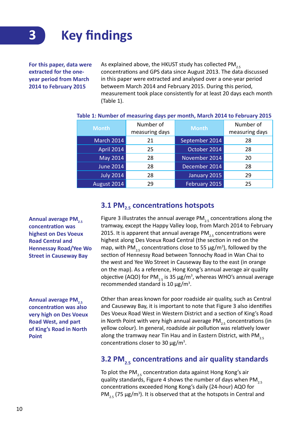

**For this paper, data were extracted for the oneyear period from March 2014 to February 2015**

As explained above, the HKUST study has collected PM<sub>2.5</sub> concentrations and GPS data since August 2013. The data discussed in this paper were extracted and analysed over a one-year period betweem March 2014 and February 2015. During this period, measurement took place consistently for at least 20 days each month (Table 1).

| <b>Month</b>      | Number of<br>measuring days | <b>Month</b>   | Number of<br>measuring days |
|-------------------|-----------------------------|----------------|-----------------------------|
| <b>March 2014</b> | 21                          | September 2014 | 28                          |
| April 2014        | 25                          | October 2014   | 28                          |
| May 2014          | 28                          | November 2014  | 20                          |
| <b>June 2014</b>  | 28                          | December 2014  | 28                          |
| <b>July 2014</b>  | 28                          | January 2015   | 29                          |
| August 2014       | 29                          | February 2015  | 25                          |

#### **Table 1: Number of measuring days per month, March 2014 to February 2015**

#### **3.1 PM2.5 concentrations hotspots**

Figure 3 illustrates the annual average PM<sub>25</sub> concentrations along the tramway, except the Happy Valley loop, from March 2014 to February 2015. It is apparent that annual average  $PM_{25}$  concentrations were highest along Des Voeux Road Central (the section in red on the map, with PM<sub>2.5</sub> concentrations close to 55  $\mu$ g/m<sup>3</sup>), followed by the section of Hennessy Road between Tonnochy Road in Wan Chai to the west and Yee Wo Street in Causeway Bay to the east (in orange on the map). As a reference, Hong Kong's annual average air quality objective (AQO) for PM<sub>2.5</sub> is 35  $\mu$ g/m<sup>3</sup>, whereas WHO's annual average recommended standard is 10  $\mu$ g/m<sup>3</sup>.

Annual average PM<sub>2.5</sub> **concentration was also very high on Des Voeux Road West, and part of King's Road in North Point**

Annual average PM<sub>2.5</sub> **concentration was highest on Des Voeux Road Central and** 

**Hennessay Road/Yee Wo Street in Causeway Bay**

> Other than areas known for poor roadside air quality, such as Central and Causeway Bay, it is important to note that Figure 3 also identifies Des Voeux Road West in Western District and a section of King's Road in North Point with very high annual average PM<sub>25</sub> concentrations (in yellow colour). In general, roadside air pollution was relatively lower along the tramway near Tin Hau and in Eastern District, with PM<sub>2.5</sub> concentrations closer to 30  $\mu$ g/m<sup>3</sup>.

## **3.2 PM<sub>2.5</sub>** concentrations and air quality standards

To plot the PM<sub>25</sub> concentration data against Hong Kong's air quality standards, Figure 4 shows the number of days when PM<sub>2.5</sub> concentrations exceeded Hong Kong's daily (24-hour) AQO for  $PM_{2.5}$  (75  $\mu$ g/m<sup>3</sup>). It is observed that at the hotspots in Central and

10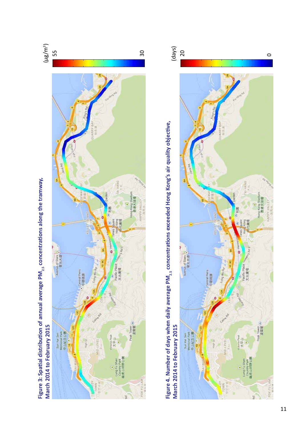



**Figure 4. Number of days when daily average PM2.5 concentrations exceeded Hong Kong's air quality objective,**  Figure 4. Number of days when daily average PM<sub>2.5</sub> concentrations exceeded Hong Kong's air quality objective, March 2014 to February 2015

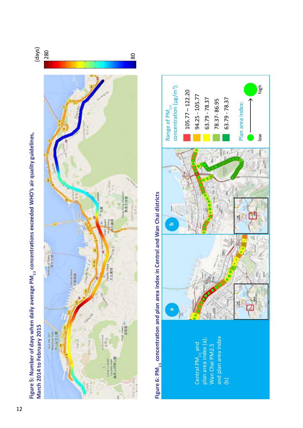



VALE

**DKFULAM** 



# Figure 5: Number of days when daily average PM<sub>2.5</sub> concentrations exceeded WHO's air quality guidelines, **Figure 5: Number of days when daily average PM2.5 concentrations exceeded WHO's air quality guidelines,**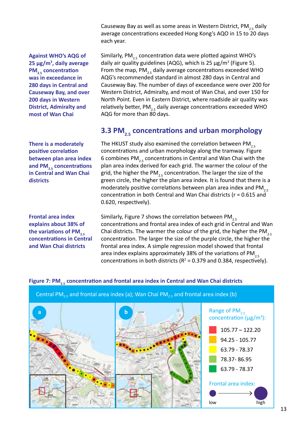Causeway Bay as well as some areas in Western District, PM<sub>2.5</sub> daily average concentrations exceeded Hong Kong's AQO in 15 to 20 days each year.

**Against WHO's AQG of 25 µg/m<sup>3</sup> , daily average PM<sub>2.5</sub>** concentration **was in exceedance in 280 days in Central and Causeway Bay, and over 200 days in Western District, Admiralty and most of Wan Chai**

**There is a moderately positive correlation between plan area index and PM2.5 concentrations in Central and Wan Chai districts**

**Frontal area index explains about 38% of**  the variations of PM<sub>2.5</sub> **concentrations in Central and Wan Chai districts**

Similarly, PM<sub>2.5</sub> concentration data were plotted against WHO's daily air quality guidelines (AQG), which is 25  $\mu$ g/m<sup>3</sup> (Figure 5). From the map, PM<sub>25</sub> daily average concentrations exceeded WHO AQG's recommended standard in almost 280 days in Central and Causeway Bay. The number of days of exceedance were over 200 for Western District, Admiralty, and most of Wan Chai, and over 150 for North Point. Even in Eastern District, where roadside air quality was relatively better,  $PM_{2.5}$  daily average concentrations exceeded WHO AQG for more than 80 days.

## **3.3 PM<sub>2.5</sub>** concentrations and urban morphology

The HKUST study also examined the correlation between PM<sub>2.5</sub> concentrations and urban morphology along the tramway. Figure 6 combines PM<sub>25</sub> concentrations in Central and Wan Chai with the plan area index derived for each grid. The warmer the colour of the grid, the higher the PM<sub>25</sub> concentration. The larger the size of the green circle, the higher the plan area index. It is found that there is a moderately positive correlations between plan area index and  $PM_{2.5}$ concentration in both Central and Wan Chai districts (r = 0.615 and 0.620, respectively).

Similarly, Figure 7 shows the correlation between PM<sub>2.5</sub> concentrations and frontal area index of each grid in Central and Wan Chai districts. The warmer the colour of the grid, the higher the PM<sub>2.5</sub> concentration. The larger the size of the purple circle, the higher the frontal area index. A simple regression model showed that frontal area index explains approximately 38% of the variations of  $PM_{2.5}$ concentrations in both districts ( $R^2$  = 0.379 and 0.384, respectively).

#### Figure 7: PM<sub>2.5</sub> concentration and frontal area index in Central and Wan Chai districts

Central PM<sub>2.5</sub> and frontal area index (a); Wan Chai PM<sub>2.5</sub> and frontal area index (b)

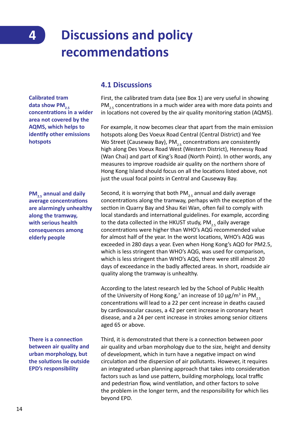**4**

# **Discussions and policy recommendations**

**Calibrated tram**  data show PM<sub>2.5</sub> **concentrations in a wider area not covered by the AQMS, which helps to identify other emissions hotspots**

**PM<sub>2.5</sub>** annual and daily **average concentrations are alarmingly unhealthy along the tramway, with serious health consequences among elderly people**

**There is a connection between air quality and urban morphology, but the solutions lie outside EPD's responsibility**

### **4.1 Discussions**

First, the calibrated tram data (see Box 1) are very useful in showing  $PM_{2.5}$  concentrations in a much wider area with more data points and in locations not covered by the air quality monitoring station (AQMS).

For example, it now becomes clear that apart from the main emission hotspots along Des Voeux Road Central (Central District) and Yee Wo Street (Causeway Bay),  $PM_{25}$  concentrations are consistently high along Des Voeux Road West (Western District), Hennessy Road (Wan Chai) and part of King's Road (North Point). In other words, any measures to improve roadside air quality on the northern shore of Hong Kong Island should focus on all the locations listed above, not just the usual focal points in Central and Causeway Bay.

Second, it is worrying that both PM<sub>25</sub> annual and daily average concentrations along the tramway, perhaps with the exception of the section in Quarry Bay and Shau Kei Wan, often fail to comply with local standards and international guidelines. For example, according to the data collected in the HKUST study, PM<sub>2.5</sub> daily average concentrations were higher than WHO's AQG recommended value for almost half of the year. In the worst locations, WHO's AQG was exceeded in 280 days a year. Even when Hong Kong's AQO for PM2.5, which is less stringent than WHO's AQG, was used for comparison, which is less stringent than WHO's AQG, there were still almost 20 days of exceedance in the badly affected areas. In short, roadside air quality along the tramway is unhealthy.

According to the latest research led by the School of Public Health of the University of Hong Kong,<sup>7</sup> an increase of 10  $\mu$ g/m<sup>3</sup> in PM<sub>2.5</sub> concentrations will lead to a 22 per cent increase in deaths caused by cardiovascular causes, a 42 per cent increase in coronary heart disease, and a 24 per cent increase in strokes among senior citizens aged 65 or above.

Third, it is demonstrated that there is a connection between poor air quality and urban morphology due to the size, height and density of development, which in turn have a negative impact on wind circulation and the dispersion of air pollutants. However, it requires an integrated urban planning approach that takes into consideration factors such as land use pattern, building morphology, local traffic and pedestrian flow, wind ventilation, and other factors to solve the problem in the longer term, and the responsibility for which lies beyond EPD.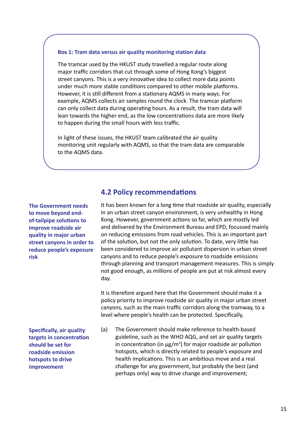#### **Box 1: Tram data versus air quality monitoring station data**

The tramcar used by the HKUST study travelled a regular route along major traffic corridors that cut through some of Hong Kong's biggest street canyons. This is a very innovative idea to collect more data points under much more stable conditions compared to other mobile platforms. However, it is still different from a stationary AQMS in many ways. For example, AQMS collects air samples round the clock. The tramcar platform can only collect data during operating hours. As a result, the tram data will lean towards the higher end, as the low concentrations data are more likely to happen during the small hours with less traffic.

In light of these issues, the HKUST team calibrated the air quality monitoring unit regularly with AQMS, so that the tram data are comparable to the AQMS data.

**The Government needs to move beyond endof-tailpipe solutions to improve roadside air quality in major urban street canyons in order to reduce people's exposure risk**

**Specifically, air quality targets in concentration should be set for roadside emission hotspots to drive improvement**

#### **4.2 Policy recommendations**

It has been known for a long time that roadside air quality, especially in an urban street canyon environment, is very unhealthy in Hong Kong. However, government actions so far, which are mostly led and delivered by the Environment Bureau and EPD, focussed mainly on reducing emissions from road vehicles. This is an important part of the solution, but not the only solution. To date, very little has been considered to improve air pollutant dispersion in urban street canyons and to reduce people's exposure to roadside emissions through planning and transport management measures. This is simply not good enough, as millions of people are put at risk almost every day.

It is therefore argued here that the Government should make it a policy priority to improve roadside air quality in major urban street canyons, such as the main traffic corridors along the tramway, to a level where people's health can be protected. Specifically,

(a) The Government should make reference to health-based guideline, such as the WHO AQG, and set air quality targets in concentration (in  $\mu$ g/m<sup>3</sup>) for major roadside air pollution hotspots, which is directly related to people's exposure and health implications. This is an ambitious move and a real challenge for any government, but probably the best (and perhaps only) way to drive change and improvement;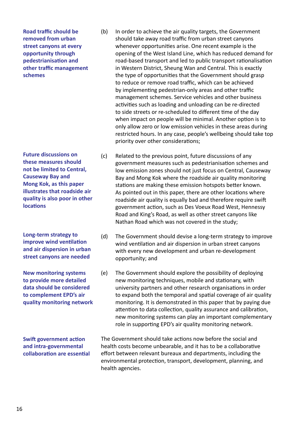**Road traffic should be removed from urban street canyons at every opportunity through pedestrianisation and other traffic management schemes**

**Future discussions on these measures should not be limited to Central, Causeway Bay and Mong Kok, as this paper illustrates that roadside air quality is also poor in other locations**

**Long-term strategy to improve wind ventilation and air dispersion in urban street canyons are needed**

**New monitoring systems to provide more detailed data should be considered to complement EPD's air quality monitoring network**

**Swift government action and intra-governmental collaboration are essential**

- (b) In order to achieve the air quality targets, the Government should take away road traffic from urban street canyons whenever opportunities arise. One recent example is the opening of the West Island Line, which has reduced demand for road-based transport and led to public transport rationalisation in Western District, Sheung Wan and Central. This is exactly the type of opportunities that the Government should grasp to reduce or remove road traffic, which can be achieved by implementing pedestrian-only areas and other traffic management schemes. Service vehicles and other business activities such as loading and unloading can be re-directed to side streets or re-scheduled to different time of the day when impact on people will be minimal. Another option is to only allow zero or low emission vehicles in these areas during restricted hours. In any case, people's wellbeing should take top priority over other considerations;
- (c) Related to the previous point, future discussions of any government measures such as pedestrianisation schemes and low emission zones should not just focus on Central, Causeway Bay and Mong Kok where the roadside air quality monitoring stations are making these emission hotspots better known. As pointed out in this paper, there are other locations where roadside air quality is equally bad and therefore require swift government action, such as Des Voeux Road West, Hennessy Road and King's Road, as well as other street canyons like Nathan Road which was not covered in the study;
- (d) The Government should devise a long-term strategy to improve wind ventilation and air dispersion in urban street canyons with every new development and urban re-development opportunity; and
- (e) The Government should explore the possibility of deploying new monitoring techniques, mobile and stationary, with university partners and other research organisations in order to expand both the temporal and spatial coverage of air quality monitoring. It is demonstrated in this paper that by paying due attention to data collection, quality assurance and calibration, new monitoring systems can play an important complementary role in supporting EPD's air quality monitoring network.

The Government should take actions now before the social and health costs become unbearable, and it has to be a collaborative effort between relevant bureaux and departments, including the environmental protection, transport, development, planning, and health agencies.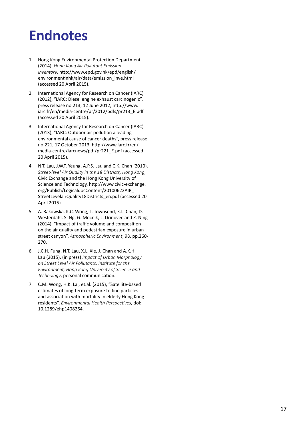# **Endnotes**

- 1. Hong Kong Environmental Protection Department (2014), *Hong Kong Air Pollutant Emission Inventory*, http://www.epd.gov.hk/epd/english/ environmentinhk/air/data/emission\_inve.html (accessed 20 April 2015).
- 2. International Agency for Research on Cancer (IARC) (2012), "IARC: Diesel engine exhaust carcinogenic", press release no.213, 12 June 2012, http://www. iarc.fr/en/media-centre/pr/2012/pdfs/pr213\_E.pdf (accessed 20 April 2015).
- 3. International Agency for Research on Cancer (IARC) (2013), "IARC: Outdoor air pollution a leading environmental cause of cancer deaths", press release no.221, 17 October 2013, http://www.iarc.fr/en/ media-centre/iarcnews/pdf/pr221\_E.pdf (accessed 20 April 2015).
- 4. N.T. Lau, J.W.T. Yeung, A.P.S. Lau and C.K. Chan (2010), *Street-level Air Quality in the 18 Districts, Hong Kong*, Civic Exchange and the Hong Kong University of Science and Technology, http://www.civic-exchange. org/Publish/LogicaldocContent/20100622AIR\_ StreetLevelairQuality18Districts\_en.pdf (accessed 20 April 2015).
- 5. A. Rakowska, K.C. Wong, T. Townsend, K.L. Chan, D. Westerdahl, S. Ng, G. Mocnik, L. Drinovec and Z. Ning (2014), "Impact of traffic volume and composition on the air quality and pedestrian exposure in urban street canyon", *Atmospheric Environment*, 98, pp.260- 270.
- 6. J.C.H. Fung, N.T. Lau, X.L. Xie, J. Chan and A.K.H. Lau (2015), (in press) *Impact of Urban Morphology on Street Level Air Pollutants, Institute for the Environment, Hong Kong University of Science and Technology*, personal communication.
- 7. C.M. Wong, H.K. Lai, et.al. (2015), "Satellite-based estimates of long-term exposure to fine particles and association with mortality in elderly Hong Kong residents", *Environmental Health Perspectives*, doi: 10.1289/ehp1408264.